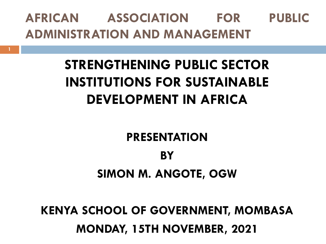### **AFRICAN ASSOCIATION FOR PUBLIC ADMINISTRATION AND MANAGEMENT**

# **STRENGTHENING PUBLIC SECTOR INSTITUTIONS FOR SUSTAINABLE DEVELOPMENT IN AFRICA**

#### **PRESENTATION**

# **BY SIMON M. ANGOTE, OGW**

### **KENYA SCHOOL OF GOVERNMENT, MOMBASA MONDAY, 15TH NOVEMBER, 2021**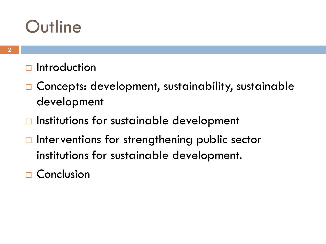# **Outline**

#### $\Box$  Introduction

- □ Concepts: development, sustainability, sustainable development
- $\Box$  Institutions for sustainable development
- $\Box$  Interventions for strengthening public sector institutions for sustainable development.
- □ Conclusion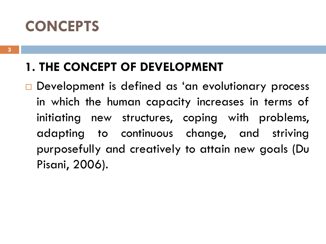## **CONCEPTS**

### **1. THE CONCEPT OF DEVELOPMENT**

Development is defined as 'an evolutionary process in which the human capacity increases in terms of initiating new structures, coping with problems, adapting to continuous change, and striving purposefully and creatively to attain new goals (Du Pisani, 2006).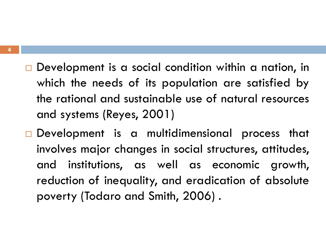- $\Box$  Development is a social condition within a nation, in which the needs of its population are satisfied by the rational and sustainable use of natural resources and systems (Reyes, 2001)
- Development is a multidimensional process that involves major changes in social structures, attitudes, and institutions, as well as economic growth, reduction of inequality, and eradication of absolute poverty (Todaro and Smith, 2006) .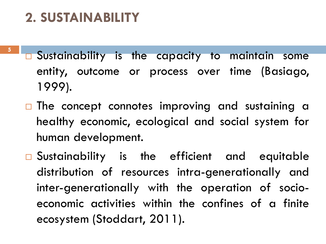### **2. SUSTAINABILITY**

- **5**
- Sustainability is the capacity to maintain some entity, outcome or process over time (Basiago, 1999).
- $\Box$  The concept connotes improving and sustaining a healthy economic, ecological and social system for human development.
- □ Sustainability is the efficient and equitable distribution of resources intra-generationally and inter-generationally with the operation of socioeconomic activities within the confines of a finite ecosystem (Stoddart, 2011).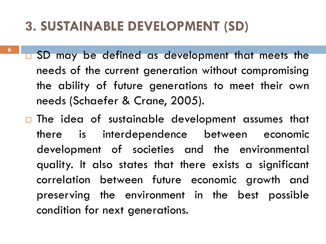### **3. SUSTAINABLE DEVELOPMENT (SD)**

- **6**
- SD may be defined as development that meets the needs of the current generation without compromising the ability of future generations to meet their own needs (Schaefer & Crane, 2005).
- $\Box$  The idea of sustainable development assumes that there is interdependence between economic development of societies and the environmental quality. It also states that there exists a significant correlation between future economic growth and preserving the environment in the best possible condition for next generations.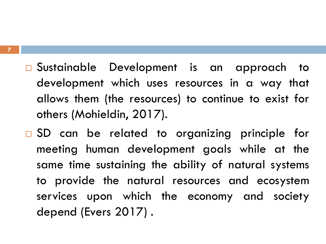- □ Sustainable Development is an approach to development which uses resources in a way that allows them (the resources) to continue to exist for others (Mohieldin, 2017).
- □ SD can be related to organizing principle for meeting human development goals while at the same time sustaining the ability of natural systems to provide the natural resources and ecosystem services upon which the economy and society depend (Evers 2017) .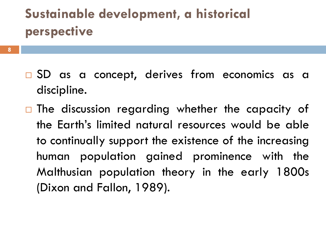## **Sustainable development, a historical perspective**

- **8**
- □ SD as a concept, derives from economics as a discipline.
- $\Box$  The discussion regarding whether the capacity of the Earth's limited natural resources would be able to continually support the existence of the increasing human population gained prominence with the Malthusian population theory in the early 1800s (Dixon and Fallon, 1989).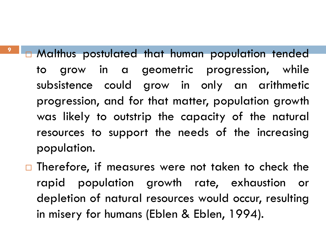**n** Malthus postulated that human population tended to grow in a geometric progression, while subsistence could grow in only an arithmetic progression, and for that matter, population growth was likely to outstrip the capacity of the natural resources to support the needs of the increasing population.

**9**

 $\Box$  Therefore, if measures were not taken to check the rapid population growth rate, exhaustion or depletion of natural resources would occur, resulting in misery for humans (Eblen & Eblen, 1994).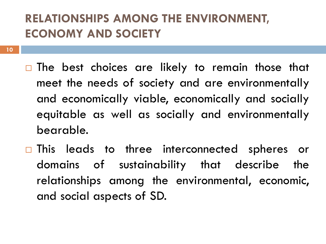#### **RELATIONSHIPS AMONG THE ENVIRONMENT, ECONOMY AND SOCIETY**

- $\Box$  The best choices are likely to remain those that meet the needs of society and are environmentally and economically viable, economically and socially equitable as well as socially and environmentally bearable.
- □ This leads to three interconnected spheres or domains of sustainability that describe the relationships among the environmental, economic, and social aspects of SD.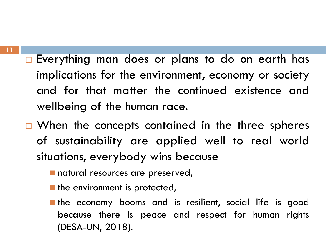- □ Everything man does or plans to do on earth has implications for the environment, economy or society and for that matter the continued existence and wellbeing of the human race.
- $\Box$  When the concepts contained in the three spheres of sustainability are applied well to real world situations, everybody wins because
	- natural resources are preserved,
	- $\blacksquare$  the environment is protected,
	- the economy booms and is resilient, social life is good because there is peace and respect for human rights (DESA-UN, 2018).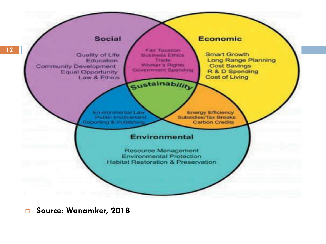

**Source: Wanamker, 2018**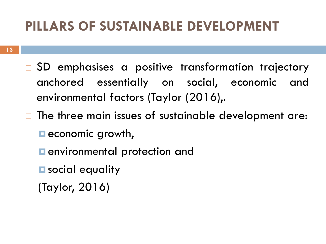### **PILLARS OF SUSTAINABLE DEVELOPMENT**

- □ SD emphasises a positive transformation trajectory anchored essentially on social, economic and environmental factors (Taylor (2016),.
- $\Box$  The three main issues of sustainable development are:
	- $\blacksquare$  economic growth,
	- **<u>E**</u> environmental protection and
	- **E** social equality
	- (Taylor, 2016)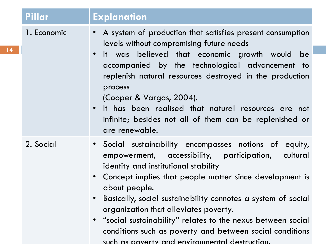| Pillar      | <b>Explanation</b>                                                                                                                                                                                                                                                                                                                                                                                                                                                                                                                                     |
|-------------|--------------------------------------------------------------------------------------------------------------------------------------------------------------------------------------------------------------------------------------------------------------------------------------------------------------------------------------------------------------------------------------------------------------------------------------------------------------------------------------------------------------------------------------------------------|
| 1. Economic | A system of production that satisfies present consumption<br>levels without compromising future needs<br>It was believed that economic growth would be<br>$\bullet$<br>accompanied by the technological advancement to<br>replenish natural resources destroyed in the production<br>process<br>(Cooper & Vargas, 2004).<br>It has been realised that natural resources are not<br>$\bullet$<br>infinite; besides not all of them can be replenished or<br>are renewable.                                                                              |
| 2. Social   | • Social sustainability encompasses notions of equity,<br>empowerment, accessibility, participation,<br>cultural<br>identity and institutional stability<br>• Concept implies that people matter since development is<br>about people.<br>Basically, social sustainability connotes a system of social<br>$\bullet$<br>organization that alleviates poverty.<br>"social sustainability" relates to the nexus between social<br>$\bullet$<br>conditions such as poverty and between social conditions<br>such as poverty and environmental destruction. |

**14**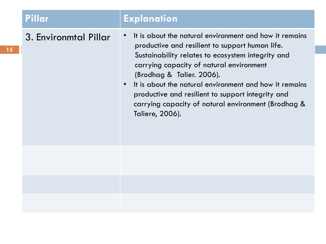|  | Pillar                | <b>Explanation</b>                                                                                                                                                                                                                                                                                                                                                                                                               |
|--|-----------------------|----------------------------------------------------------------------------------------------------------------------------------------------------------------------------------------------------------------------------------------------------------------------------------------------------------------------------------------------------------------------------------------------------------------------------------|
|  | 3. Environmtal Pillar | It is about the natural environment and how it remains<br>productive and resilient to support human life.<br>Sustainability relates to ecosystem integrity and<br>carrying capacity of natural environment<br>(Brodhag & Talier. 2006).<br>It is about the natural environment and how it remains<br>productive and resilient to support integrity and<br>carrying capacity of natural environment (Brodhag &<br>Taliere, 2006). |
|  |                       |                                                                                                                                                                                                                                                                                                                                                                                                                                  |
|  |                       |                                                                                                                                                                                                                                                                                                                                                                                                                                  |
|  |                       |                                                                                                                                                                                                                                                                                                                                                                                                                                  |

**15**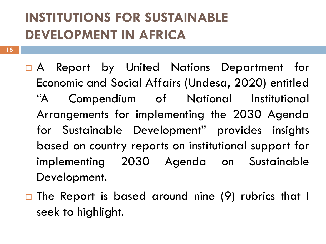### **INSTITUTIONS FOR SUSTAINABLE DEVELOPMENT IN AFRICA**

- A Report by United Nations Department for Economic and Social Affairs (Undesa, 2020) entitled "A Compendium of National Institutional Arrangements for implementing the 2030 Agenda for Sustainable Development" provides insights based on country reports on institutional support for implementing 2030 Agenda on Sustainable Development.
- $\Box$  The Report is based around nine (9) rubrics that I seek to highlight.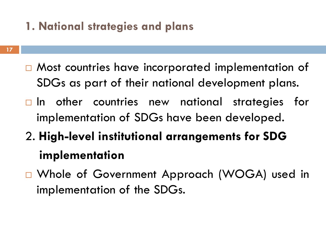#### **1. National strategies and plans**

- □ Most countries have incorporated implementation of SDGs as part of their national development plans.
- $\Box$  In other countries new national strategies for implementation of SDGs have been developed.
- 2. **High-level institutional arrangements for SDG implementation**
- □ Whole of Government Approach (WOGA) used in implementation of the SDGs.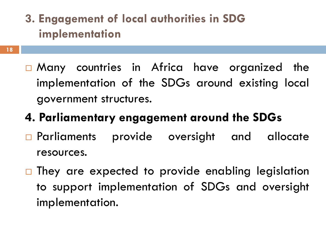- **3. Engagement of local authorities in SDG implementation**
- Many countries in Africa have organized the implementation of the SDGs around existing local government structures.
- **4. Parliamentary engagement around the SDGs**
- **Parliaments provide oversight and allocate** resources.
- $\Box$  They are expected to provide enabling legislation to support implementation of SDGs and oversight implementation.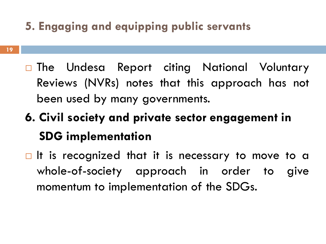### **5. Engaging and equipping public servants**

- □ The Undesa Report citing National Voluntary Reviews (NVRs) notes that this approach has not been used by many governments.
- **6. Civil society and private sector engagement in SDG implementation**
- $\Box$  It is recognized that it is necessary to move to a whole-of-society approach in order to give momentum to implementation of the SDGs.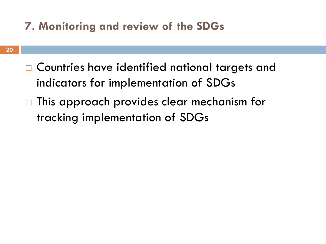#### **7. Monitoring and review of the SDGs**

- □ Countries have identified national targets and indicators for implementation of SDGs
- $\Box$  This approach provides clear mechanism for tracking implementation of SDGs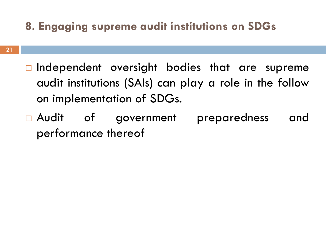#### **8. Engaging supreme audit institutions on SDGs**

- $\Box$  Independent oversight bodies that are supreme audit institutions (SAIs) can play a role in the follow on implementation of SDGs.
- □ Audit of government preparedness and performance thereof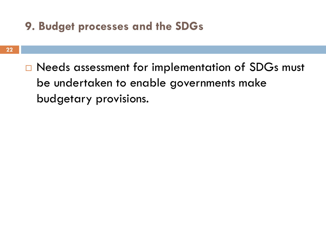#### **9. Budget processes and the SDGs**

□ Needs assessment for implementation of SDGs must be undertaken to enable governments make budgetary provisions.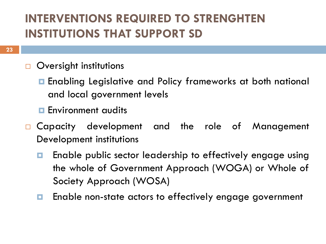### **INTERVENTIONS REQUIRED TO STRENGHTEN INSTITUTIONS THAT SUPPORT SD**

- **Oversight institutions** 
	- Enabling Legislative and Policy frameworks at both national and local government levels
	- **Environment qudits**
- Capacity development and the role of Management Development institutions
	- **E** Enable public sector leadership to effectively engage using the whole of Government Approach (WOGA) or Whole of Society Approach (WOSA)
	- **E** Enable non-state actors to effectively engage government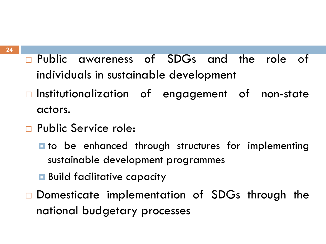- Public awareness of SDGs and the role of individuals in sustainable development
- Institutionalization of engagement of non-state actors.
- Public Service role:
	- $\blacksquare$  to be enhanced through structures for implementing sustainable development programmes
	- **Build facilitative capacity**
- □ Domesticate implementation of SDGs through the national budgetary processes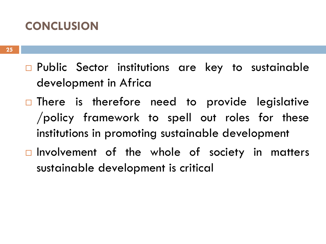#### **CONCLUSION**

- □ Public Sector institutions are key to sustainable development in Africa
- $\Box$  There is therefore need to provide legislative /policy framework to spell out roles for these institutions in promoting sustainable development
- $\Box$  Involvement of the whole of society in matters sustainable development is critical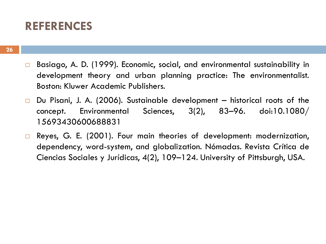#### **REFERENCES**

- □ Basiago, A. D. (1999). Economic, social, and environmental sustainability in development theory and urban planning practice: The environmentalist. Boston: Kluwer Academic Publishers.
- $\Box$  Du Pisani, J. A. (2006). Sustainable development historical roots of the concept. Environmental Sciences, 3(2), 83–96. doi:10.1080/ 15693430600688831
- □ Reyes, G. E. (2001). Four main theories of development: modernization, dependency, word-system, and globalization. Nómadas. Revista Crítica de Ciencias Sociales y Jurídicas, 4(2), 109–124. University of Pittsburgh, USA.